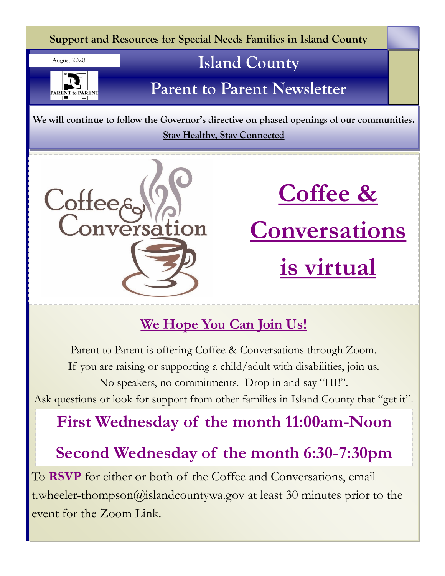

# **We Hope You Can Join Us!**

Parent to Parent is offering Coffee & Conversations through Zoom. If you are raising or supporting a child/adult with disabilities, join us. No speakers, no commitments. Drop in and say "HI!". Ask questions or look for support from other families in Island County that "get it".

# **First Wednesday of the month 11:00am-Noon**

# **Second Wednesday of the month 6:30-7:30pm**

To **RSVP** for either or both of the Coffee and Conversations, email t.wheeler-thompson@islandcountywa.gov at least 30 minutes prior to the event for the Zoom Link.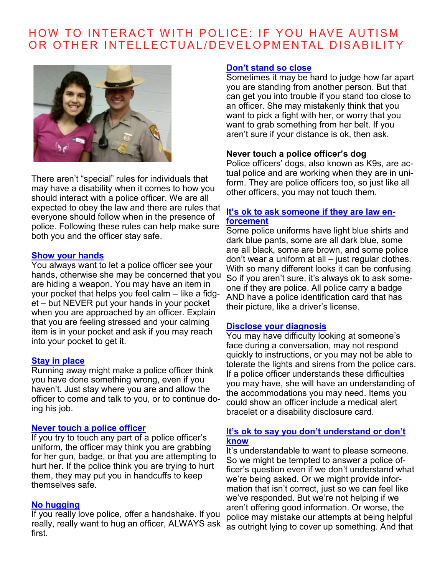# HOW TO INTERACT WITH POLICE: IF YOU HAVE AUTISM OR OTHER INTELLECTUAL/DEVELOPMENTAL DISABILITY



There aren't "special" rules for individuals that may have a disability when it comes to how you should interact with a police officer. We are all expected to obey the law and there are rules that everyone should follow when in the presence of police. Following these rules can help make sure both you and the officer stay safe.

#### **Show your hands**

You always want to let a police officer see your hands, otherwise she may be concerned that you are hiding a weapon. You may have an item in your pocket that helps you feel calm – like a fidget – but NEVER put your hands in your pocket when you are approached by an officer. Explain that you are feeling stressed and your calming item is in your pocket and ask if you may reach into your pocket to get it.

#### **Stay in place**

Running away might make a police officer think you have done something wrong, even if you haven't. Just stay where you are and allow the officer to come and talk to you, or to continue doing his job.

#### **Never touch a police officer**

If you try to touch any part of a police officer's uniform, the officer may think you are grabbing for her gun, badge, or that you are attempting to hurt her. If the police think you are trying to hurt them, they may put you in handcuffs to keep themselves safe.

#### **No hugging**

If you really love police, offer a handshake. If you really, really want to hug an officer, ALWAYS ask first.

#### **Don't stand so close**

Sometimes it may be hard to judge how far apart you are standing from another person. But that can get you into trouble if you stand too close to an officer. She may mistakenly think that you want to pick a fight with her, or worry that you want to grab something from her belt. If you aren't sure if your distance is ok, then ask.

#### **Never touch a police officer's dog**

Police officers' dogs, also known as K9s, are actual police and are working when they are in uniform. They are police officers too, so just like all other officers, you may not touch them.

#### **It's ok to ask someone if they are law enforcement**

Some police uniforms have light blue shirts and dark blue pants, some are all dark blue, some are all black, some are brown, and some police don't wear a uniform at all – just regular clothes. With so many different looks it can be confusing. So if you aren't sure, it's always ok to ask someone if they are police. All police carry a badge AND have a police identification card that has their picture, like a driver's license.

#### **Disclose your diagnosis**

You may have difficulty looking at someone's face during a conversation, may not respond quickly to instructions, or you may not be able to tolerate the lights and sirens from the police cars. If a police officer understands these difficulties you may have, she will have an understanding of the accommodations you may need. Items you could show an officer include a medical alert bracelet or a disability disclosure card.

#### **It's ok to say you don't understand or don't know**

It's understandable to want to please someone. So we might be tempted to answer a police officer's question even if we don't understand what we're being asked. Or we might provide information that isn't correct, just so we can feel like we've responded. But we're not helping if we aren't offering good information. Or worse, the police may mistake our attempts at being helpful as outright lying to cover up something. And that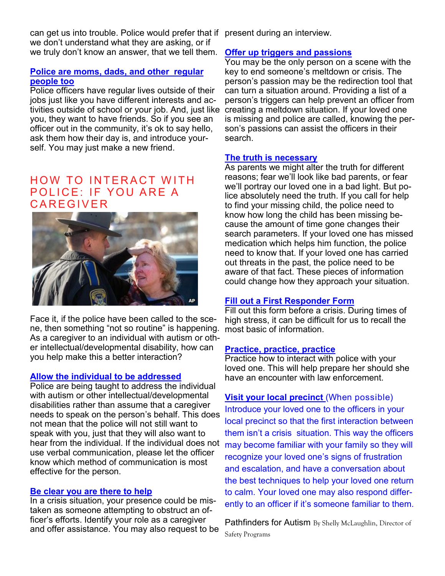can get us into trouble. Police would prefer that if present during an interview. we don't understand what they are asking, or if we truly don't know an answer, that we tell them.

### **Police are moms, dads, and other regular people too**

Police officers have regular lives outside of their jobs just like you have different interests and activities outside of school or your job. And, just like you, they want to have friends. So if you see an officer out in the community, it's ok to say hello, ask them how their day is, and introduce yourself. You may just make a new friend.

## HOW TO INTERACT WITH POLICE: IF YOU ARE A **CAREGIVER**



Face it, if the police have been called to the scene, then something "not so routine" is happening. As a caregiver to an individual with autism or other intellectual/developmental disability, how can you help make this a better interaction?

#### **Allow the individual to be addressed**

Police are being taught to address the individual with autism or other intellectual/developmental disabilities rather than assume that a caregiver needs to speak on the person's behalf. This does not mean that the police will not still want to speak with you, just that they will also want to hear from the individual. If the individual does not use verbal communication, please let the officer know which method of communication is most effective for the person.

#### **Be clear you are there to help**

In a crisis situation, your presence could be mistaken as someone attempting to obstruct an officer's efforts. Identify your role as a caregiver and offer assistance. You may also request to be

### **Offer up triggers and passions**

You may be the only person on a scene with the key to end someone's meltdown or crisis. The person's passion may be the redirection tool that can turn a situation around. Providing a list of a person's triggers can help prevent an officer from creating a meltdown situation. If your loved one is missing and police are called, knowing the person's passions can assist the officers in their search.

#### **The truth is necessary**

As parents we might alter the truth for different reasons; fear we'll look like bad parents, or fear we'll portray our loved one in a bad light. But police absolutely need the truth. If you call for help to find your missing child, the police need to know how long the child has been missing because the amount of time gone changes their search parameters. If your loved one has missed medication which helps him function, the police need to know that. If your loved one has carried out threats in the past, the police need to be aware of that fact. These pieces of information could change how they approach your situation.

### **Fill out a First Responder Form**

Fill out this form before a crisis. During times of high stress, it can be difficult for us to recall the most basic of information.

#### **Practice, practice, practice**

Practice how to interact with police with your loved one. This will help prepare her should she have an encounter with law enforcement.

## **Visit your local precinct** (When possible)

Introduce your loved one to the officers in your local precinct so that the first interaction between them isn't a crisis situation. This way the officers may become familiar with your family so they will recognize your loved one's signs of frustration and escalation, and have a conversation about the best techniques to help your loved one return to calm. Your loved one may also respond differently to an officer if it's someone familiar to them.

**Pathfinders for Autism** By Shelly McLaughlin, Director of Safety Programs